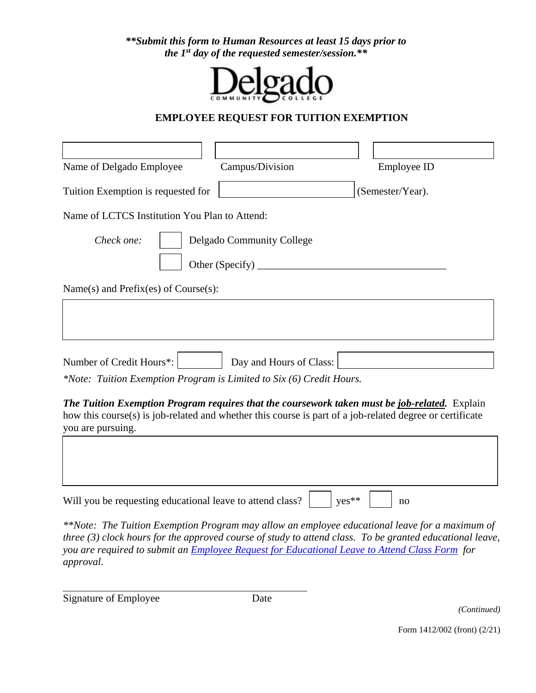*\*\*Submit this form to Human Resources at least 15 days prior to the 1 st day of the requested semester/session.\*\**



## **EMPLOYEE REQUEST FOR TUITION EXEMPTION**

| Name of Delgado Employee                                             | Campus/Division           | Employee ID                                                                                                                                                                                               |  |
|----------------------------------------------------------------------|---------------------------|-----------------------------------------------------------------------------------------------------------------------------------------------------------------------------------------------------------|--|
| Tuition Exemption is requested for                                   |                           | (Semester/Year).                                                                                                                                                                                          |  |
| Name of LCTCS Institution You Plan to Attend:                        |                           |                                                                                                                                                                                                           |  |
| Check one:                                                           | Delgado Community College |                                                                                                                                                                                                           |  |
| Name(s) and Prefix(es) of Course $(s)$ :                             |                           |                                                                                                                                                                                                           |  |
|                                                                      |                           |                                                                                                                                                                                                           |  |
| Number of Credit Hours*:                                             | Day and Hours of Class:   |                                                                                                                                                                                                           |  |
| *Note: Tuition Exemption Program is Limited to Six (6) Credit Hours. |                           |                                                                                                                                                                                                           |  |
| you are pursuing.                                                    |                           | The Tuition Exemption Program requires that the coursework taken must be job-related. Explain<br>how this course(s) is job-related and whether this course is part of a job-related degree or certificate |  |
|                                                                      |                           |                                                                                                                                                                                                           |  |
| Will you be requesting educational leave to attend class?            |                           | yes**<br>no                                                                                                                                                                                               |  |

*\*\*Note: The Tuition Exemption Program may allow an employee educational leave for a maximum of three (3) clock hours for the approved course of study to attend class. To be granted educational leave, you are required to submit an [Employee Request for Educational Leave](http://docushare3.dcc.edu/docushare/dsweb/Get/Document-111) to Attend Class Form for approval.*

Signature of Employee Date

 $\overline{a}$ 

*(Continued)*

Form 1412/002 (front) (2/21)